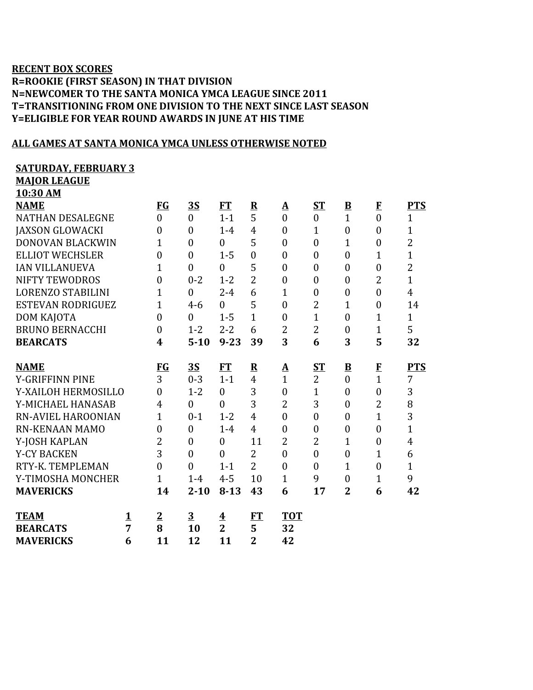## **RECENT BOX SCORES R=ROOKIE (FIRST SEASON) IN THAT DIVISION N=NEWCOMER TO THE SANTA MONICA YMCA LEAGUE SINCE 2011 T=TRANSITIONING FROM ONE DIVISION TO THE NEXT SINCE LAST SEASON Y=ELIGIBLE FOR YEAR ROUND AWARDS IN JUNE AT HIS TIME**

## **ALL GAMES AT SANTA MONICA YMCA UNLESS OTHERWISE NOTED**

## **SATURDAY, FEBRUARY 3**

**MAJOR LEAGUE**

|  | 10:30 AM |  |
|--|----------|--|
|  |          |  |

| <b>NAME</b>               |               | $FG$             | <u>3S</u>      | FT             | $\overline{\mathbf{R}}$ | ${\bf A}$      | $S_{\rm T}$      | $\underline{\mathbf{B}}$ | $\mathbf{F}$     | <b>PTS</b>     |
|---------------------------|---------------|------------------|----------------|----------------|-------------------------|----------------|------------------|--------------------------|------------------|----------------|
| <b>NATHAN DESALEGNE</b>   |               | $\overline{0}$   | $\overline{0}$ | $1 - 1$        | 5                       | $\overline{0}$ | $\boldsymbol{0}$ | $\mathbf{1}$             | $\overline{0}$   | $\mathbf{1}$   |
| <b>JAXSON GLOWACKI</b>    |               | $\theta$         | $\theta$       | $1 - 4$        | $\overline{4}$          | $\theta$       | $\overline{1}$   | $\overline{0}$           | $\theta$         | $\overline{1}$ |
| <b>DONOVAN BLACKWIN</b>   |               | 1                | $\mathbf{0}$   | $\overline{0}$ | 5                       | $\overline{0}$ | $\mathbf{0}$     | 1                        | $\overline{0}$   | $\overline{2}$ |
| <b>ELLIOT WECHSLER</b>    |               | $\boldsymbol{0}$ | $\mathbf{0}$   | $1 - 5$        | $\overline{0}$          | $\overline{0}$ | $\boldsymbol{0}$ | $\boldsymbol{0}$         | $\mathbf{1}$     | $\overline{1}$ |
| <b>IAN VILLANUEVA</b>     |               | $\overline{1}$   | $\mathbf{0}$   | $\overline{0}$ | 5                       | $\overline{0}$ | $\boldsymbol{0}$ | $\overline{0}$           | $\overline{0}$   | $\overline{2}$ |
| <b>NIFTY TEWODROS</b>     |               | $\overline{0}$   | $0 - 2$        | $1 - 2$        | $\overline{2}$          | $\theta$       | $\mathbf{0}$     | $\overline{0}$           | $\overline{2}$   | $\mathbf{1}$   |
| <b>LORENZO STABILINI</b>  |               | $\overline{1}$   | $\mathbf{0}$   | $2 - 4$        | 6                       | $\mathbf{1}$   | $\boldsymbol{0}$ | $\boldsymbol{0}$         | $\overline{0}$   | $\overline{4}$ |
| ESTEVAN RODRIGUEZ         |               | $\overline{1}$   | $4 - 6$        | $\theta$       | 5                       | $\overline{0}$ | $\overline{2}$   | $\overline{1}$           | $\overline{0}$   | 14             |
| DOM KAJOTA                |               | $\overline{0}$   | $\theta$       | $1 - 5$        | $\mathbf{1}$            | $\theta$       | $\overline{1}$   | $\theta$                 | 1                | $\mathbf{1}$   |
| <b>BRUNO BERNACCHI</b>    |               | $\overline{0}$   | $1 - 2$        | $2 - 2$        | 6                       | $\overline{2}$ | $\overline{2}$   | $\overline{0}$           | 1                | 5              |
| <b>BEARCATS</b>           |               | 4                | $5 - 10$       | $9 - 23$       | 39                      | 3              | 6                | 3                        | 5                | 32             |
| <b>NAME</b>               |               | <u>FG</u>        | <u>35</u>      | FT             | $\overline{\mathbf{R}}$ | <u>A</u>       | $S_{\rm T}$      | $\overline{\mathbf{B}}$  |                  | <b>PTS</b>     |
| <b>Y-GRIFFINN PINE</b>    |               | 3                | $0 - 3$        | $1 - 1$        | $\overline{4}$          | $\overline{1}$ | $\overline{2}$   | $\overline{0}$           | $\frac{F}{1}$    | 7              |
| Y-XAILOH HERMOSILLO       |               | $\overline{0}$   | $1 - 2$        | $\theta$       | 3                       | $\overline{0}$ | $\overline{1}$   | $\overline{0}$           | $\overline{0}$   | 3              |
| Y-MICHAEL HANASAB         |               | 4                | $\theta$       | $\theta$       | 3                       | $\overline{2}$ | 3                | $\overline{0}$           | $\overline{2}$   | 8              |
| <b>RN-AVIEL HAROONIAN</b> |               | $\overline{1}$   | $0 - 1$        | $1 - 2$        | $\overline{4}$          | $\overline{0}$ | $\overline{0}$   | $\overline{0}$           | $\mathbf{1}$     | 3              |
| <b>RN-KENAAN MAMO</b>     |               | $\boldsymbol{0}$ | $\mathbf{0}$   | $1-4$          | $\overline{4}$          | $\overline{0}$ | $\boldsymbol{0}$ | $\boldsymbol{0}$         | $\overline{0}$   | $\overline{1}$ |
| Y-JOSH KAPLAN             |               | 2                | $\mathbf{0}$   | $\overline{0}$ | 11                      | $\overline{2}$ | $\overline{2}$   | $\mathbf 1$              | $\boldsymbol{0}$ | $\overline{4}$ |
| <b>Y-CY BACKEN</b>        |               | 3                | $\mathbf{0}$   | $\overline{0}$ | $\overline{2}$          | $\overline{0}$ | $\boldsymbol{0}$ | $\overline{0}$           | 1                | 6              |
| RTY-K. TEMPLEMAN          |               | $\overline{0}$   | $\theta$       | $1 - 1$        | $\overline{2}$          | $\theta$       | $\overline{0}$   | $\overline{1}$           | $\overline{0}$   | $\mathbf{1}$   |
| Y-TIMOSHA MONCHER         |               | $\overline{1}$   | $1 - 4$        | $4 - 5$        | 10                      | $\mathbf{1}$   | 9                | $\overline{0}$           | $\mathbf{1}$     | 9              |
| <b>MAVERICKS</b>          |               | 14               | $2 - 10$       | $8 - 13$       | 43                      | 6              | 17               | $\overline{2}$           | 6                | 42             |
| <b>TEAM</b>               |               | $\overline{2}$   | $\overline{3}$ |                | <u>FT</u>               | <b>TOT</b>     |                  |                          |                  |                |
| <b>BEARCATS</b>           | $\frac{1}{7}$ | 8                | 10             | $\frac{4}{2}$  | 5                       | 32             |                  |                          |                  |                |
| <b>MAVERICKS</b>          | 6             | 11               | 12             | 11             | $\overline{2}$          | 42             |                  |                          |                  |                |
|                           |               |                  |                |                |                         |                |                  |                          |                  |                |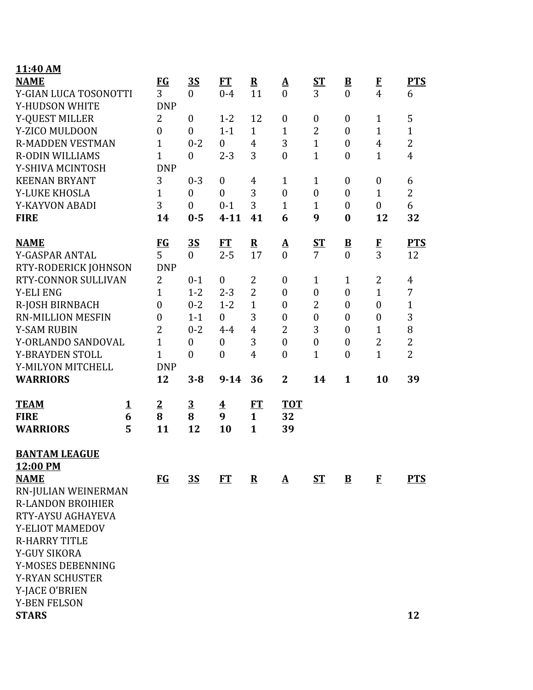|          | <b>FG</b>                                                                                                                              | 3S               | <b>FT</b>               | ${\bf R}$      | $\mathbf{\Delta}$ | $S_{\rm T}$      | $\underline{\mathbf{B}}$ | $\mathbf{F}$           | <b>PTS</b>     |
|----------|----------------------------------------------------------------------------------------------------------------------------------------|------------------|-------------------------|----------------|-------------------|------------------|--------------------------|------------------------|----------------|
|          | 3                                                                                                                                      | $\mathbf{0}$     | $0 - 4$                 | 11             | $\theta$          | $\overline{3}$   | $\overline{0}$           | $\overline{4}$         | 6              |
|          | <b>DNP</b>                                                                                                                             |                  |                         |                |                   |                  |                          |                        |                |
|          | 2                                                                                                                                      | $\boldsymbol{0}$ | $1 - 2$                 | 12             | $\boldsymbol{0}$  | $\boldsymbol{0}$ | $\boldsymbol{0}$         | $\mathbf{1}$           | 5              |
|          | $\boldsymbol{0}$                                                                                                                       | $\overline{0}$   | $1 - 1$                 | $\mathbf{1}$   | $\mathbf{1}$      | $\overline{2}$   | $\boldsymbol{0}$         | $\mathbf{1}$           | $\mathbf{1}$   |
|          | $\mathbf{1}$                                                                                                                           | $0 - 2$          | $\boldsymbol{0}$        | $\overline{4}$ | 3                 | $\mathbf{1}$     | $\boldsymbol{0}$         | $\overline{4}$         | $\overline{2}$ |
|          | $\mathbf{1}$                                                                                                                           | $\boldsymbol{0}$ | $2 - 3$                 | 3              | $\boldsymbol{0}$  | $\mathbf{1}$     | $\boldsymbol{0}$         | $\mathbf{1}$           | $\overline{4}$ |
|          | <b>DNP</b>                                                                                                                             |                  |                         |                |                   |                  |                          |                        |                |
|          | 3                                                                                                                                      | $0 - 3$          | $\boldsymbol{0}$        | $\overline{4}$ | $\mathbf{1}$      | $\mathbf{1}$     | $\boldsymbol{0}$         | $\boldsymbol{0}$       | 6              |
|          | $\mathbf{1}$                                                                                                                           | $\boldsymbol{0}$ | $\overline{0}$          | 3              | $\overline{0}$    | $\boldsymbol{0}$ | $\boldsymbol{0}$         | $\mathbf{1}$           | $\overline{2}$ |
|          | 3                                                                                                                                      | $\boldsymbol{0}$ | $0 - 1$                 | 3              | $\mathbf{1}$      | $\mathbf{1}$     | $\boldsymbol{0}$         | $\boldsymbol{0}$       | 6              |
|          | 14                                                                                                                                     | $0 - 5$          | $4 - 11$                | 41             | 6                 | 9                | $\boldsymbol{0}$         | 12                     | 32             |
|          |                                                                                                                                        |                  | FT                      |                |                   |                  |                          |                        | <b>PTS</b>     |
|          | 5                                                                                                                                      | $\overline{0}$   | $2 - 5$                 | 17             | $\theta$          | $\overline{7}$   |                          |                        | 12             |
|          | <b>DNP</b>                                                                                                                             |                  |                         |                |                   |                  |                          |                        |                |
|          | 2                                                                                                                                      | $0 - 1$          | $\boldsymbol{0}$        | 2              | $\boldsymbol{0}$  | $\mathbf{1}$     | $\mathbf{1}$             | 2                      | $\overline{4}$ |
|          | $\mathbf{1}$                                                                                                                           | $1 - 2$          | $2 - 3$                 | $\overline{2}$ | $\boldsymbol{0}$  | $\boldsymbol{0}$ | $\boldsymbol{0}$         | $\mathbf{1}$           | $\overline{7}$ |
|          | $\boldsymbol{0}$                                                                                                                       | $0 - 2$          | $1 - 2$                 | $\mathbf{1}$   | $\boldsymbol{0}$  | 2                | $\boldsymbol{0}$         | $\boldsymbol{0}$       | $1\,$          |
|          | $\boldsymbol{0}$                                                                                                                       | $1 - 1$          | $\boldsymbol{0}$        | 3              | $\boldsymbol{0}$  | $\boldsymbol{0}$ | $\boldsymbol{0}$         | $\boldsymbol{0}$       | 3              |
|          | $\overline{2}$                                                                                                                         | $0 - 2$          | $4 - 4$                 | $\overline{4}$ | $\overline{2}$    | 3                | $\boldsymbol{0}$         | $\mathbf{1}$           | $\, 8$         |
|          | $\mathbf{1}$                                                                                                                           | $\boldsymbol{0}$ | $\boldsymbol{0}$        | 3              | $\boldsymbol{0}$  | $\boldsymbol{0}$ | $\boldsymbol{0}$         | $\overline{2}$         | $\overline{2}$ |
|          | $\mathbf{1}$                                                                                                                           | $\boldsymbol{0}$ | $\boldsymbol{0}$        | $\overline{4}$ | $\overline{0}$    | $\mathbf{1}$     | $\boldsymbol{0}$         | $\overline{1}$         | $\overline{2}$ |
|          | <b>DNP</b>                                                                                                                             |                  |                         |                |                   |                  |                          |                        |                |
|          | 12                                                                                                                                     | $3 - 8$          | $9 - 14$                | 36             | $\mathbf{2}$      | 14               | $\mathbf{1}$             | 10                     | 39             |
| <u>1</u> | $\overline{2}$                                                                                                                         | $\overline{3}$   | $\overline{\mathbf{4}}$ | <u>FT</u>      | <b>TOT</b>        |                  |                          |                        |                |
| 6        | 8                                                                                                                                      | 8                | 9                       | $\mathbf{1}$   | 32                |                  |                          |                        |                |
| 5        | 11                                                                                                                                     | 12               | 10                      | $\mathbf{1}$   | 39                |                  |                          |                        |                |
|          |                                                                                                                                        |                  |                         |                |                   |                  |                          |                        |                |
|          |                                                                                                                                        |                  |                         |                |                   |                  |                          |                        |                |
|          | $FG$                                                                                                                                   | <u>3S</u>        | FT                      | $\mathbf{R}$   | $\mathbf{A}$      | <b>ST</b>        | $\mathbf{B}$             | $\bf{F}$               | <b>PTS</b>     |
|          |                                                                                                                                        |                  |                         |                |                   |                  |                          |                        |                |
|          |                                                                                                                                        |                  |                         |                |                   |                  |                          |                        |                |
|          |                                                                                                                                        |                  |                         |                |                   |                  |                          |                        |                |
|          |                                                                                                                                        |                  |                         |                |                   |                  |                          |                        |                |
|          |                                                                                                                                        |                  |                         |                |                   |                  |                          |                        |                |
|          |                                                                                                                                        |                  |                         |                |                   |                  |                          |                        |                |
|          |                                                                                                                                        |                  |                         |                |                   |                  |                          |                        |                |
|          |                                                                                                                                        |                  |                         |                |                   |                  |                          |                        |                |
|          |                                                                                                                                        |                  |                         |                |                   |                  |                          |                        |                |
|          |                                                                                                                                        |                  |                         |                |                   |                  |                          |                        |                |
|          |                                                                                                                                        |                  |                         |                |                   |                  |                          |                        | 12             |
|          | Y-GIAN LUCA TOSONOTTI<br>RTY-RODERICK JOHNSON<br>RTY-CONNOR SULLIVAN<br>Y-ORLANDO SANDOVAL<br>RN-JULIAN WEINERMAN<br>RTY-AYSU AGHAYEVA | $\underline{FG}$ | <u>35</u>               |                | ${\bf R}$         | <u>A</u>         | <u>ST</u>                | $\frac{\mathbf{B}}{0}$ | $\frac{F}{3}$  |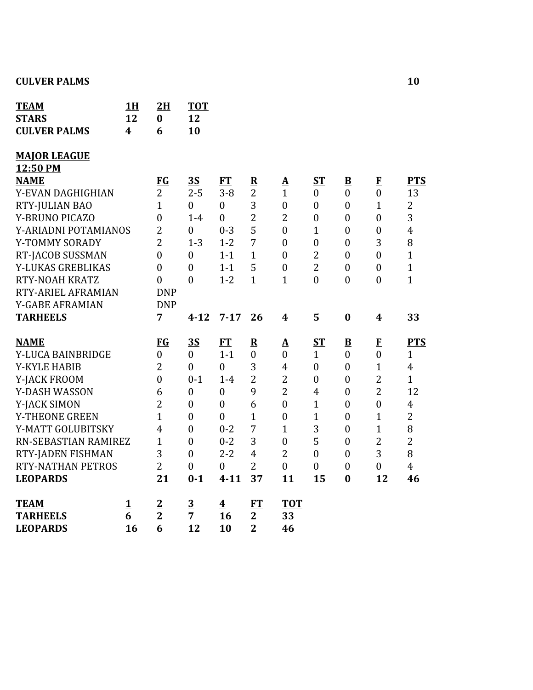| <b>TEAM</b><br><b>STARS</b> | 1H<br>12 | 2H<br>$\bf{0}$   | <b>TOT</b><br>12        |                         |                         |                  |                  |                          |                  |                |
|-----------------------------|----------|------------------|-------------------------|-------------------------|-------------------------|------------------|------------------|--------------------------|------------------|----------------|
| <b>CULVER PALMS</b>         | 4        | 6                | 10                      |                         |                         |                  |                  |                          |                  |                |
| <b>MAJOR LEAGUE</b>         |          |                  |                         |                         |                         |                  |                  |                          |                  |                |
| 12:50 PM                    |          |                  |                         |                         |                         |                  |                  |                          |                  |                |
| <b>NAME</b>                 |          | FG               | 3S                      | <b>FT</b>               | $\overline{\mathbf{R}}$ | ${\bf A}$        | <b>ST</b>        | $\overline{\mathbf{B}}$  | $\mathbf{F}$     | <b>PTS</b>     |
| Y-EVAN DAGHIGHIAN           |          | $\overline{2}$   | $2 - 5$                 | $3 - 8$                 | $\overline{2}$          | $\mathbf{1}$     | $\boldsymbol{0}$ | $\boldsymbol{0}$         | $\boldsymbol{0}$ | 13             |
| RTY-JULIAN BAO              |          | $\mathbf{1}$     | $\overline{0}$          | $\overline{0}$          | 3                       | $\boldsymbol{0}$ | $\boldsymbol{0}$ | $\boldsymbol{0}$         | $\mathbf{1}$     | $\overline{2}$ |
| <b>Y-BRUNO PICAZO</b>       |          | $\boldsymbol{0}$ | $1-4$                   | $\mathbf{0}$            | $\overline{2}$          | $\overline{2}$   | $\boldsymbol{0}$ | $\boldsymbol{0}$         | $\boldsymbol{0}$ | 3              |
| Y-ARIADNI POTAMIANOS        |          | $\overline{2}$   | $\overline{0}$          | $0 - 3$                 | 5                       | $\overline{0}$   | $\mathbf{1}$     | $\overline{0}$           | $\overline{0}$   | $\overline{4}$ |
| Y-TOMMY SORADY              |          | $\overline{2}$   | $1 - 3$                 | $1 - 2$                 | 7                       | $\mathbf{0}$     | $\boldsymbol{0}$ | $\boldsymbol{0}$         | 3                | 8              |
| RT-JACOB SUSSMAN            |          | $\boldsymbol{0}$ | $\boldsymbol{0}$        | $1 - 1$                 | $\mathbf{1}$            | $\theta$         | $\overline{2}$   | $\boldsymbol{0}$         | $\boldsymbol{0}$ | $\mathbf{1}$   |
| Y-LUKAS GREBLIKAS           |          | $\overline{0}$   | $\overline{0}$          | $1 - 1$                 | 5                       | $\boldsymbol{0}$ | $\overline{2}$   | $\boldsymbol{0}$         | $\overline{0}$   | $\mathbf{1}$   |
| RTY-NOAH KRATZ              |          | $\mathbf{0}$     | $\overline{0}$          | $1 - 2$                 | $\mathbf{1}$            | $\mathbf{1}$     | $\mathbf{0}$     | $\mathbf{0}$             | $\boldsymbol{0}$ | $\mathbf{1}$   |
| RTY-ARIEL AFRAMIAN          |          | <b>DNP</b>       |                         |                         |                         |                  |                  |                          |                  |                |
| Y-GABE AFRAMIAN             |          | <b>DNP</b>       |                         |                         |                         |                  |                  |                          |                  |                |
| <b>TARHEELS</b>             |          | 7                | $4 - 12$                | $7 - 17$                | 26                      | $\boldsymbol{4}$ | 5                | $\boldsymbol{0}$         | $\boldsymbol{4}$ | 33             |
| <b>NAME</b>                 |          | <b>FG</b>        | <u>35</u>               | FT                      | $\overline{\mathbf{R}}$ | $\Delta$         | $S_{\rm T}$      | $\underline{\mathbf{B}}$ | $\mathbf{F}$     | <b>PTS</b>     |
| Y-LUCA BAINBRIDGE           |          | $\boldsymbol{0}$ | $\boldsymbol{0}$        | $1 - 1$                 | $\boldsymbol{0}$        | $\boldsymbol{0}$ | $\mathbf{1}$     | $\boldsymbol{0}$         | $\boldsymbol{0}$ | $\mathbf{1}$   |
| Y-KYLE HABIB                |          | $\overline{2}$   | $\boldsymbol{0}$        | $\mathbf{0}$            | 3                       | $\overline{4}$   | $\boldsymbol{0}$ | $\boldsymbol{0}$         | $\mathbf{1}$     | $\overline{4}$ |
| Y-JACK FROOM                |          | $\mathbf{0}$     | $0 - 1$                 | $1-4$                   | $\overline{2}$          | $\overline{2}$   | $\boldsymbol{0}$ | $\boldsymbol{0}$         | $\overline{2}$   | $\mathbf{1}$   |
| Y-DASH WASSON               |          | 6                | $\boldsymbol{0}$        | $\overline{0}$          | 9                       | $\overline{2}$   | $\overline{4}$   | $\boldsymbol{0}$         | $\overline{2}$   | 12             |
| Y-JACK SIMON                |          | $\overline{2}$   | $\boldsymbol{0}$        | $\overline{0}$          | 6                       | $\mathbf{0}$     | $\mathbf{1}$     | $\boldsymbol{0}$         | $\boldsymbol{0}$ | $\overline{4}$ |
| Y-THEONE GREEN              |          | $\overline{1}$   | $\boldsymbol{0}$        | $\overline{0}$          | $\mathbf{1}$            | $\boldsymbol{0}$ | $\mathbf{1}$     | $\boldsymbol{0}$         | $\mathbf{1}$     | $\overline{2}$ |
| Y-MATT GOLUBITSKY           |          | 4                | $\overline{0}$          | $0 - 2$                 | 7                       | $\mathbf{1}$     | 3                | $\overline{0}$           | $\overline{1}$   | 8              |
| RN-SEBASTIAN RAMIREZ        |          | $\mathbf{1}$     | $\boldsymbol{0}$        | $0 - 2$                 | 3                       | $\boldsymbol{0}$ | 5                | $\boldsymbol{0}$         | $\overline{2}$   | $\overline{2}$ |
| RTY-JADEN FISHMAN           |          | 3                | $\overline{0}$          | $2 - 2$                 | $\overline{4}$          | $\overline{2}$   | $\overline{0}$   | $\boldsymbol{0}$         | 3                | 8              |
| <b>RTY-NATHAN PETROS</b>    |          | $\overline{2}$   | $\boldsymbol{0}$        | $\overline{0}$          | $\overline{2}$          | $\overline{0}$   | $\overline{0}$   | $\boldsymbol{0}$         | $\boldsymbol{0}$ | $\overline{4}$ |
| <b>LEOPARDS</b>             |          | 21               | $0 - 1$                 | $4 - 11$                | 37                      | 11               | 15               | $\bf{0}$                 | 12               | 46             |
| <b>TEAM</b>                 | <u>1</u> | $\overline{2}$   | $\overline{\mathbf{3}}$ | $\overline{\mathbf{4}}$ | FT                      | <b>TOT</b>       |                  |                          |                  |                |
| <b>TARHEELS</b>             | 6        | $\overline{2}$   | 7                       | 16                      | $\overline{2}$          | 33               |                  |                          |                  |                |
| <b>LEOPARDS</b>             | 16       | 6                | 12                      | 10                      | $\overline{2}$          | 46               |                  |                          |                  |                |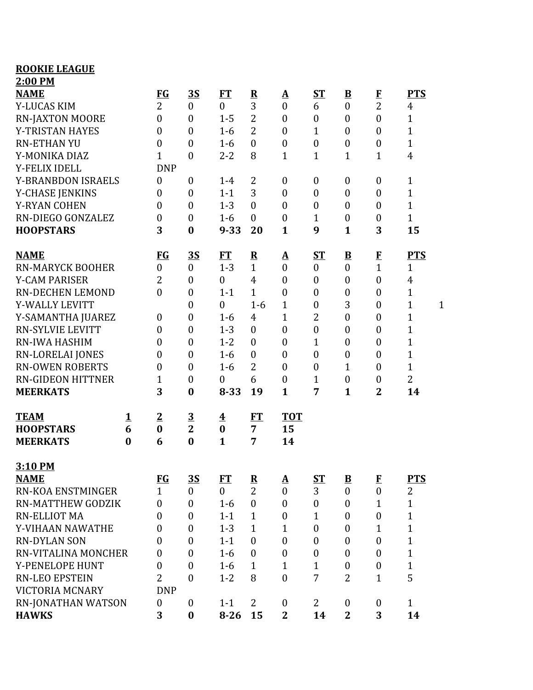| <b>ROOKIE LEAGUE</b>      |          |                  |                  |                         |                         |                          |                  |                         |                  |                |              |
|---------------------------|----------|------------------|------------------|-------------------------|-------------------------|--------------------------|------------------|-------------------------|------------------|----------------|--------------|
| 2:00 PM                   |          |                  |                  |                         |                         |                          |                  |                         |                  |                |              |
| <b>NAME</b>               |          | <b>FG</b>        | <u>35</u>        | FT                      | $\overline{\mathbf{R}}$ | $\mathbf{\underline{A}}$ | $S_{\rm T}$      | $\overline{\mathbf{B}}$ | $\bf{F}$         | <b>PTS</b>     |              |
| Y-LUCAS KIM               |          | $\overline{2}$   | $\boldsymbol{0}$ | $\boldsymbol{0}$        | 3                       | $\boldsymbol{0}$         | 6                | $\mathbf{0}$            | $\overline{2}$   | 4              |              |
| <b>RN-JAXTON MOORE</b>    |          | $\mathbf{0}$     | $\boldsymbol{0}$ | $1 - 5$                 | $\overline{2}$          | $\boldsymbol{0}$         | $\boldsymbol{0}$ | $\boldsymbol{0}$        | $\boldsymbol{0}$ | $\mathbf{1}$   |              |
| Y-TRISTAN HAYES           |          | $\overline{0}$   | $\boldsymbol{0}$ | $1-6$                   | $\overline{2}$          | $\boldsymbol{0}$         | $\mathbf{1}$     | $\mathbf{0}$            | $\boldsymbol{0}$ | $\mathbf{1}$   |              |
| <b>RN-ETHAN YU</b>        |          | 0                | $\boldsymbol{0}$ | $1-6$                   | $\mathbf{0}$            | $\boldsymbol{0}$         | $\boldsymbol{0}$ | $\boldsymbol{0}$        | $\boldsymbol{0}$ | $\mathbf{1}$   |              |
| Y-MONIKA DIAZ             |          | 1                | $\boldsymbol{0}$ | $2 - 2$                 | 8                       | $\mathbf{1}$             | $\mathbf{1}$     | $\mathbf 1$             | $\mathbf{1}$     | $\overline{4}$ |              |
| Y-FELIX IDELL             |          | <b>DNP</b>       |                  |                         |                         |                          |                  |                         |                  |                |              |
| <b>Y-BRANBDON ISRAELS</b> |          | $\overline{0}$   | $\boldsymbol{0}$ | $1 - 4$                 | $\overline{2}$          | $\boldsymbol{0}$         | $\boldsymbol{0}$ | $\mathbf{0}$            | $\boldsymbol{0}$ | $\mathbf{1}$   |              |
| Y-CHASE JENKINS           |          | $\overline{0}$   | $\boldsymbol{0}$ | $1 - 1$                 | 3                       | $\boldsymbol{0}$         | $\boldsymbol{0}$ | $\mathbf{0}$            | $\boldsymbol{0}$ | $\mathbf{1}$   |              |
| <b>Y-RYAN COHEN</b>       |          | $\boldsymbol{0}$ | $\boldsymbol{0}$ | $1 - 3$                 | $\mathbf{0}$            | $\boldsymbol{0}$         | $\boldsymbol{0}$ | $\mathbf{0}$            | $\boldsymbol{0}$ | $\mathbf{1}$   |              |
| RN-DIEGO GONZALEZ         |          | $\boldsymbol{0}$ | $\boldsymbol{0}$ | $1-6$                   | $\boldsymbol{0}$        | $\boldsymbol{0}$         | $\mathbf{1}$     | $\boldsymbol{0}$        | $\boldsymbol{0}$ | $\mathbf{1}$   |              |
| <b>HOOPSTARS</b>          |          | 3                | $\bf{0}$         | $9 - 33$                | 20                      | $\mathbf{1}$             | 9                | $\mathbf{1}$            | 3                | 15             |              |
| <b>NAME</b>               |          | <u>FG</u>        | <u>3S</u>        | FT                      | $\overline{\mathbf{R}}$ | <u>A</u>                 | <u>ST</u>        | $\overline{\mathbf{B}}$ | $\mathbf{F}$     | <b>PTS</b>     |              |
| <b>RN-MARYCK BOOHER</b>   |          | $\mathbf{0}$     | $\boldsymbol{0}$ | $1 - 3$                 | $\mathbf{1}$            | $\boldsymbol{0}$         | $\boldsymbol{0}$ | $\overline{0}$          | $\overline{1}$   | $\mathbf{1}$   |              |
| <b>Y-CAM PARISER</b>      |          | 2                | $\boldsymbol{0}$ | $\boldsymbol{0}$        | $\overline{4}$          | $\boldsymbol{0}$         | $\boldsymbol{0}$ | $\boldsymbol{0}$        | $\boldsymbol{0}$ | 4              |              |
| <b>RN-DECHEN LEMOND</b>   |          | 0                | $\boldsymbol{0}$ | $1 - 1$                 | $\mathbf{1}$            | $\boldsymbol{0}$         | $\boldsymbol{0}$ | $\boldsymbol{0}$        | $\boldsymbol{0}$ | $\mathbf{1}$   |              |
| Y-WALLY LEVITT            |          |                  | $\boldsymbol{0}$ | $\boldsymbol{0}$        | $1-6$                   | $\mathbf{1}$             | $\boldsymbol{0}$ | 3                       | $\boldsymbol{0}$ | 1              | $\mathbf{1}$ |
| Y-SAMANTHA JUAREZ         |          | $\boldsymbol{0}$ | $\boldsymbol{0}$ | $1-6$                   | $\overline{4}$          | $\mathbf{1}$             | $\overline{2}$   | $\boldsymbol{0}$        | $\boldsymbol{0}$ | $\mathbf{1}$   |              |
| <b>RN-SYLVIE LEVITT</b>   |          | $\theta$         | $\boldsymbol{0}$ | $1 - 3$                 | $\mathbf{0}$            | $\boldsymbol{0}$         | $\boldsymbol{0}$ | $\mathbf{0}$            | $\boldsymbol{0}$ | $\mathbf{1}$   |              |
| RN-IWA HASHIM             |          | 0                | $\boldsymbol{0}$ | $1 - 2$                 | $\mathbf{0}$            | $\boldsymbol{0}$         | $\mathbf{1}$     | $\mathbf{0}$            | $\boldsymbol{0}$ | $\mathbf{1}$   |              |
| RN-LORELAI JONES          |          | $\boldsymbol{0}$ | $\boldsymbol{0}$ | $1-6$                   | $\boldsymbol{0}$        | $\boldsymbol{0}$         | $\boldsymbol{0}$ | $\boldsymbol{0}$        | $\boldsymbol{0}$ | $\mathbf{1}$   |              |
| <b>RN-OWEN ROBERTS</b>    |          | $\mathbf{0}$     | $\boldsymbol{0}$ | $1-6$                   | 2                       | $\boldsymbol{0}$         | $\boldsymbol{0}$ | 1                       | $\boldsymbol{0}$ | $\mathbf{1}$   |              |
| <b>RN-GIDEON HITTNER</b>  |          | $\mathbf{1}$     | $\boldsymbol{0}$ | $\boldsymbol{0}$        | 6                       | $\boldsymbol{0}$         | $\mathbf{1}$     | $\boldsymbol{0}$        | $\boldsymbol{0}$ | $\overline{2}$ |              |
| <b>MEERKATS</b>           |          | 3                | $\bf{0}$         | $8 - 33$                | 19                      | $\mathbf{1}$             | 7                | 1                       | $\overline{2}$   | 14             |              |
| <b>TEAM</b>               | <u>1</u> | $\overline{2}$   | $\overline{3}$   | $\overline{\mathbf{4}}$ | FT                      | <b>TOT</b>               |                  |                         |                  |                |              |
| <b>HOOPSTARS</b>          | 6        | $\bf{0}$         | $\overline{2}$   | $\bf{0}$                | $\overline{7}$          | 15                       |                  |                         |                  |                |              |
| <b>MEERKATS</b>           | $\bf{0}$ | 6                | $\bf{0}$         | 1                       | 7                       | 14                       |                  |                         |                  |                |              |
| 3:10 PM                   |          |                  |                  |                         |                         |                          |                  |                         |                  |                |              |
| <b>NAME</b>               |          | <b>FG</b>        | <u>3S</u>        | FT                      | ${\bf R}$               | <u>A</u>                 | $S_{\rm T}$      | $\mathbf{B}$            | $\mathbf{F}$     | <b>PTS</b>     |              |
| <b>RN-KOA ENSTMINGER</b>  |          | $\mathbf{1}$     | $\overline{0}$   | $\overline{0}$          | $\overline{2}$          | $\mathbf{0}$             | 3                | $\boldsymbol{0}$        | $\overline{0}$   | $\overline{2}$ |              |
| <b>RN-MATTHEW GODZIK</b>  |          | $\boldsymbol{0}$ | $\boldsymbol{0}$ | $1-6$                   | $\mathbf{0}$            | $\boldsymbol{0}$         | $\boldsymbol{0}$ | $\mathbf{0}$            | $\mathbf{1}$     | 1              |              |
| <b>RN-ELLIOT MA</b>       |          | $\boldsymbol{0}$ | $\boldsymbol{0}$ | $1 - 1$                 | $\mathbf{1}$            | $\boldsymbol{0}$         | $\mathbf{1}$     | $\mathbf{0}$            | $\boldsymbol{0}$ | $\mathbf{1}$   |              |
| Y-VIHAAN NAWATHE          |          | $\theta$         | 0                | $1 - 3$                 | $\mathbf{1}$            | $\mathbf{1}$             | $\boldsymbol{0}$ | $\mathbf{0}$            | $\mathbf{1}$     | $\mathbf{1}$   |              |
| <b>RN-DYLAN SON</b>       |          | $\theta$         | $\boldsymbol{0}$ | $1 - 1$                 | $\theta$                | $\overline{0}$           | $\boldsymbol{0}$ | $\boldsymbol{0}$        | $\boldsymbol{0}$ | $\mathbf{1}$   |              |
| RN-VITALINA MONCHER       |          | $\boldsymbol{0}$ | 0                | $1-6$                   | $\mathbf{0}$            | $\boldsymbol{0}$         | $\boldsymbol{0}$ | $\mathbf{0}$            | $\boldsymbol{0}$ | $\mathbf{1}$   |              |
| Y-PENELOPE HUNT           |          | $\boldsymbol{0}$ | $\boldsymbol{0}$ | $1 - 6$                 | $\mathbf{1}$            | $\mathbf{1}$             | $\mathbf{1}$     | $\mathbf{0}$            | $\boldsymbol{0}$ | $\mathbf{1}$   |              |
| <b>RN-LEO EPSTEIN</b>     |          | $\overline{2}$   | $\boldsymbol{0}$ | $1 - 2$                 | 8                       | $\boldsymbol{0}$         | 7                | $\overline{2}$          | $\mathbf{1}$     | 5              |              |
| <b>VICTORIA MCNARY</b>    |          | <b>DNP</b>       |                  |                         |                         |                          |                  |                         |                  |                |              |
| RN-JONATHAN WATSON        |          | $\mathbf{0}$     | $\boldsymbol{0}$ | $1 - 1$                 | $\overline{2}$          | $\boldsymbol{0}$         | 2                | $\mathbf{0}$            | $\boldsymbol{0}$ | $\mathbf{1}$   |              |
| <b>HAWKS</b>              |          | 3                | $\bf{0}$         | $8 - 26$                | 15                      | $\overline{2}$           | 14               | $\overline{2}$          | 3                | 14             |              |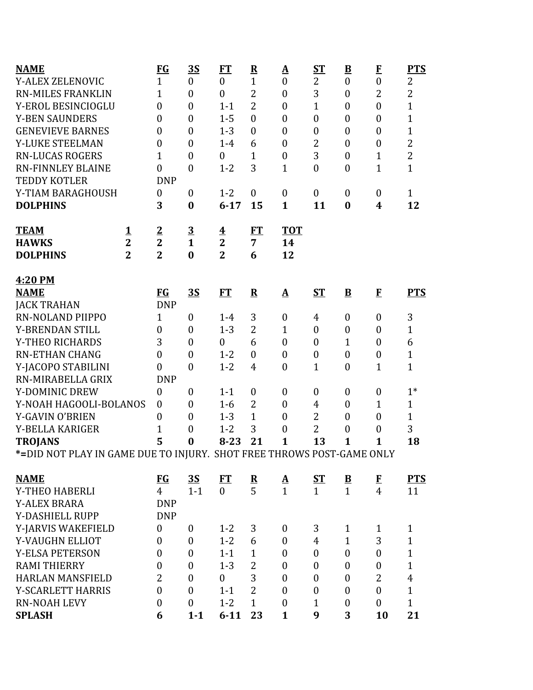| <b>NAME</b>                                                            |                | $FG$             | <u>3S</u>        | FT                      | $\overline{\mathbf{R}}$ | <u>A</u>                 | <b>ST</b>        | $\underline{\mathbf{B}}$ | $\mathbf{F}$     | <u>PTS</u>     |
|------------------------------------------------------------------------|----------------|------------------|------------------|-------------------------|-------------------------|--------------------------|------------------|--------------------------|------------------|----------------|
| <b>Y-ALEX ZELENOVIC</b>                                                |                | $\mathbf{1}$     | $\overline{0}$   | $\boldsymbol{0}$        | $\mathbf{1}$            | $\overline{0}$           | $\overline{2}$   | $\overline{0}$           | $\mathbf{0}$     | $\overline{c}$ |
| <b>RN-MILES FRANKLIN</b>                                               |                | $\mathbf{1}$     | $\overline{0}$   | $\overline{0}$          | $\overline{2}$          | $\boldsymbol{0}$         | 3                | $\boldsymbol{0}$         | $\overline{2}$   | $\overline{2}$ |
| Y-EROL BESINCIOGLU                                                     |                | $\overline{0}$   | $\overline{0}$   | $1 - 1$                 | $\overline{2}$          | $\boldsymbol{0}$         | $\mathbf{1}$     | $\boldsymbol{0}$         | $\boldsymbol{0}$ | $\overline{1}$ |
| <b>Y-BEN SAUNDERS</b>                                                  |                | $\overline{0}$   | $\overline{0}$   | $1 - 5$                 | $\overline{0}$          | $\boldsymbol{0}$         | $\boldsymbol{0}$ | $\boldsymbol{0}$         | $\boldsymbol{0}$ | $\overline{1}$ |
| <b>GENEVIEVE BARNES</b>                                                |                | $\boldsymbol{0}$ | $\overline{0}$   | $1 - 3$                 | $\mathbf{0}$            | $\boldsymbol{0}$         | $\boldsymbol{0}$ | $\boldsymbol{0}$         | $\boldsymbol{0}$ | $\overline{1}$ |
| Y-LUKE STEELMAN                                                        |                | $\boldsymbol{0}$ | $\mathbf{0}$     | $1-4$                   | 6                       | $\boldsymbol{0}$         | $\overline{2}$   | $\boldsymbol{0}$         | $\boldsymbol{0}$ | $\overline{2}$ |
| <b>RN-LUCAS ROGERS</b>                                                 |                | $\overline{1}$   | $\overline{0}$   | $\boldsymbol{0}$        | 1                       | $\overline{0}$           | 3                | $\boldsymbol{0}$         | $\mathbf{1}$     | $\overline{c}$ |
| <b>RN-FINNLEY BLAINE</b>                                               |                | $\boldsymbol{0}$ | $\boldsymbol{0}$ | $1 - 2$                 | 3                       | $\mathbf{1}$             | $\boldsymbol{0}$ | $\boldsymbol{0}$         | $\mathbf{1}$     | $\mathbf{1}$   |
| <b>TEDDY KOTLER</b>                                                    |                | <b>DNP</b>       |                  |                         |                         |                          |                  |                          |                  |                |
| Y-TIAM BARAGHOUSH                                                      |                | $\boldsymbol{0}$ | $\boldsymbol{0}$ | $1 - 2$                 | $\boldsymbol{0}$        | $\boldsymbol{0}$         | $\boldsymbol{0}$ | $\boldsymbol{0}$         | $\boldsymbol{0}$ | $\mathbf{1}$   |
| <b>DOLPHINS</b>                                                        |                | 3                | $\bf{0}$         | $6 - 17$                | 15                      | $\mathbf{1}$             | 11               | $\bf{0}$                 | 4                | 12             |
| <b>TEAM</b>                                                            | <u>1</u>       | $\overline{2}$   | $\overline{3}$   | $\overline{\textbf{4}}$ | FT                      | <b>TOT</b>               |                  |                          |                  |                |
| <b>HAWKS</b>                                                           | $\overline{2}$ | $\overline{2}$   | $\mathbf{1}$     | $\overline{2}$          | 7                       | 14                       |                  |                          |                  |                |
| <b>DOLPHINS</b>                                                        | $\overline{2}$ | $\overline{2}$   | $\bf{0}$         | $\overline{2}$          | 6                       | 12                       |                  |                          |                  |                |
| 4:20 PM                                                                |                |                  |                  |                         |                         |                          |                  |                          |                  |                |
| <b>NAME</b>                                                            |                | <b>FG</b>        | <u>35</u>        | ET                      | ${\bf R}$               | $\mathbf A$              | $S_{\rm T}$      | $\overline{\mathbf{B}}$  | $\mathbf{F}$     | <b>PTS</b>     |
| <b>JACK TRAHAN</b>                                                     |                | <b>DNP</b>       |                  |                         |                         |                          |                  |                          |                  |                |
| RN-NOLAND PIIPPO                                                       |                | $\mathbf{1}$     | $\boldsymbol{0}$ | $1 - 4$                 | 3                       | $\boldsymbol{0}$         | 4                | $\boldsymbol{0}$         | $\boldsymbol{0}$ | 3              |
| Y-BRENDAN STILL                                                        |                | $\boldsymbol{0}$ | $\overline{0}$   | $1 - 3$                 | $\overline{2}$          | $\mathbf{1}$             | $\boldsymbol{0}$ | $\boldsymbol{0}$         | $\boldsymbol{0}$ | $\mathbf{1}$   |
| Y-THEO RICHARDS                                                        |                | 3                | $\overline{0}$   | $\boldsymbol{0}$        | 6                       | $\mathbf{0}$             | $\mathbf{0}$     | $\mathbf{1}$             | $\theta$         | 6              |
| <b>RN-ETHAN CHANG</b>                                                  |                | $\boldsymbol{0}$ | $\overline{0}$   | $1 - 2$                 | $\boldsymbol{0}$        | $\overline{0}$           | $\boldsymbol{0}$ | $\boldsymbol{0}$         | $\boldsymbol{0}$ | $\overline{1}$ |
| Y-JACOPO STABILINI                                                     |                | $\overline{0}$   | $\boldsymbol{0}$ | $1 - 2$                 | $\overline{4}$          | $\boldsymbol{0}$         | $\mathbf{1}$     | $\boldsymbol{0}$         | $\mathbf{1}$     | $\mathbf{1}$   |
| RN-MIRABELLA GRIX                                                      |                | <b>DNP</b>       |                  |                         |                         |                          |                  |                          |                  |                |
| Y-DOMINIC DREW                                                         |                | $\boldsymbol{0}$ | $\boldsymbol{0}$ | $1 - 1$                 | $\boldsymbol{0}$        | $\boldsymbol{0}$         | $\boldsymbol{0}$ | $\boldsymbol{0}$         | $\boldsymbol{0}$ | $1*$           |
| Y-NOAH HAGOOLI-BOLANOS                                                 |                | $\boldsymbol{0}$ | $\overline{0}$   | $1-6$                   | $\overline{2}$          | $\mathbf{0}$             | 4                | $\boldsymbol{0}$         | $\mathbf 1$      | $\mathbf{1}$   |
| Y-GAVIN O'BRIEN                                                        |                | $\boldsymbol{0}$ | $\overline{0}$   | $1 - 3$                 | $\mathbf{1}$            | $\overline{0}$           | $\overline{2}$   | $\overline{0}$           | $\boldsymbol{0}$ | $\mathbf{1}$   |
| Y-BELLA KARIGER                                                        |                | $\overline{1}$   | $\boldsymbol{0}$ | $1 - 2$                 | 3                       | $\boldsymbol{0}$         | $\overline{2}$   | $\boldsymbol{0}$         | $\boldsymbol{0}$ | 3              |
| <b>TROJANS</b>                                                         |                | 5                | $\bf{0}$         | $8 - 23$                | 21                      | $\mathbf{1}$             | 13               | $\mathbf{1}$             | 1                | 18             |
| *= DID NOT PLAY IN GAME DUE TO INJURY. SHOT FREE THROWS POST-GAME ONLY |                |                  |                  |                         |                         |                          |                  |                          |                  |                |
| <b>NAME</b>                                                            |                | $FG$             | <u>3S</u>        | FT                      | $\frac{\mathbf{R}}{5}$  | $\mathbf{\underline{A}}$ | <u>ST</u>        | $\overline{B}$           | $\bf{F}$         | <b>PTS</b>     |
| Y-THEO HABERLI                                                         |                | $\overline{4}$   | $1 - 1$          | $\Omega$                |                         | $\mathbf{1}$             | $\mathbf{1}$     | $\mathbf{1}$             | $\overline{4}$   | 11             |
| <b>Y-ALEX BRARA</b>                                                    |                | <b>DNP</b>       |                  |                         |                         |                          |                  |                          |                  |                |
| Y-DASHIELL RUPP                                                        |                | <b>DNP</b>       |                  |                         |                         |                          |                  |                          |                  |                |
| Y-JARVIS WAKEFIELD                                                     |                | $\boldsymbol{0}$ | $\boldsymbol{0}$ | $1 - 2$                 | 3                       | $\boldsymbol{0}$         | 3                | $\mathbf{1}$             | $\mathbf{1}$     | $\mathbf{1}$   |
| Y-VAUGHN ELLIOT                                                        |                | $\boldsymbol{0}$ | $\boldsymbol{0}$ | $1 - 2$                 | 6                       | $\boldsymbol{0}$         | $\overline{4}$   | $\mathbf{1}$             | 3                | $\mathbf{1}$   |
| <b>Y-ELSA PETERSON</b>                                                 |                | $\boldsymbol{0}$ | $\mathbf{0}$     | $1 - 1$                 | $\mathbf{1}$            | $\mathbf{0}$             | $\boldsymbol{0}$ | $\boldsymbol{0}$         | $\boldsymbol{0}$ | $\overline{1}$ |
| <b>RAMI THIERRY</b>                                                    |                | $\boldsymbol{0}$ | $\boldsymbol{0}$ | $1 - 3$                 | $\overline{2}$          | $\boldsymbol{0}$         | $\boldsymbol{0}$ | $\boldsymbol{0}$         | $\boldsymbol{0}$ | $\mathbf{1}$   |
| <b>HARLAN MANSFIELD</b>                                                |                | $\overline{2}$   | $\mathbf{0}$     | $\mathbf{0}$            | 3                       | $\mathbf{0}$             | $\boldsymbol{0}$ | 0                        | $\overline{2}$   | $\overline{4}$ |
| Y-SCARLETT HARRIS                                                      |                | $\boldsymbol{0}$ | $\mathbf{0}$     | $1 - 1$                 | $\overline{2}$          | $\mathbf{0}$             | $\boldsymbol{0}$ | 0                        | $\boldsymbol{0}$ | $\mathbf{1}$   |
| <b>RN-NOAH LEVY</b>                                                    |                | $\boldsymbol{0}$ | $\mathbf{0}$     | $1 - 2$                 | $\mathbf{1}$            | $\boldsymbol{0}$         | $\mathbf{1}$     | $\boldsymbol{0}$         | $\boldsymbol{0}$ | $\mathbf{1}$   |
| <b>SPLASH</b>                                                          |                | 6                | $1 - 1$          | $6 - 11$                | 23                      | $\mathbf{1}$             | 9                | 3                        | 10               | 21             |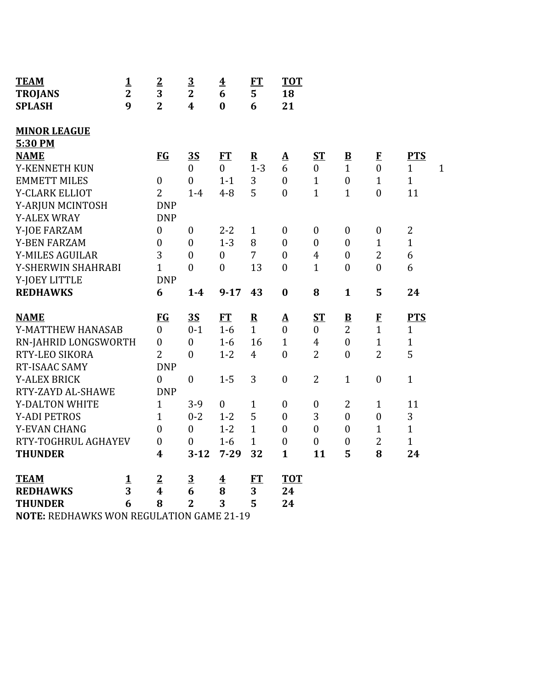| <b>TEAM</b>           | 1              | $\overline{2}$   | $\overline{3}$          | $\overline{\mathbf{4}}$ | <b>FT</b>      | <b>TOT</b>               |                  |                          |                  |                              |
|-----------------------|----------------|------------------|-------------------------|-------------------------|----------------|--------------------------|------------------|--------------------------|------------------|------------------------------|
| <b>TROJANS</b>        | $\overline{2}$ | 3                | $\overline{2}$          | 6                       | 5              | 18                       |                  |                          |                  |                              |
| <b>SPLASH</b>         | 9              | $\overline{2}$   | $\overline{\mathbf{4}}$ | $\bf{0}$                | 6              | 21                       |                  |                          |                  |                              |
| <b>MINOR LEAGUE</b>   |                |                  |                         |                         |                |                          |                  |                          |                  |                              |
| 5:30 PM               |                |                  |                         |                         |                |                          |                  |                          |                  |                              |
| <b>NAME</b>           |                | <b>FG</b>        | 3S                      | FT                      | $\mathbf R$    | $\Delta$                 | $S_{\rm T}$      | $\mathbf{B}$             | $\mathbf{F}$     | <b>PTS</b>                   |
| Y-KENNETH KUN         |                |                  | $\overline{0}$          | $\overline{0}$          | $1 - 3$        | 6                        | $\boldsymbol{0}$ | $\mathbf{1}$             | $\mathbf{0}$     | $\mathbf{1}$<br>$\mathbf{1}$ |
| <b>EMMETT MILES</b>   |                | $\boldsymbol{0}$ | $\boldsymbol{0}$        | $1 - 1$                 | 3              | $\mathbf{0}$             | $\mathbf{1}$     | $\boldsymbol{0}$         | $\mathbf{1}$     | $\mathbf{1}$                 |
| Y-CLARK ELLIOT        |                | $\overline{2}$   | $1 - 4$                 | $4 - 8$                 | 5              | $\mathbf{0}$             | $\mathbf{1}$     | $\mathbf{1}$             | $\overline{0}$   | 11                           |
| Y-ARJUN MCINTOSH      |                | <b>DNP</b>       |                         |                         |                |                          |                  |                          |                  |                              |
| <b>Y-ALEX WRAY</b>    |                | <b>DNP</b>       |                         |                         |                |                          |                  |                          |                  |                              |
| Y-JOE FARZAM          |                | $\boldsymbol{0}$ | $\boldsymbol{0}$        | $2 - 2$                 | $\mathbf{1}$   | $\boldsymbol{0}$         | $\boldsymbol{0}$ | $\boldsymbol{0}$         | $\boldsymbol{0}$ | $\overline{2}$               |
| <b>Y-BEN FARZAM</b>   |                | $\overline{0}$   | $\mathbf{0}$            | $1 - 3$                 | 8              | $\mathbf{0}$             | $\overline{0}$   | $\overline{0}$           | $\mathbf{1}$     | $\mathbf{1}$                 |
| Y-MILES AGUILAR       |                | 3                | $\boldsymbol{0}$        | $\boldsymbol{0}$        | 7              | $\boldsymbol{0}$         | $\overline{4}$   | $\boldsymbol{0}$         | $\overline{2}$   | 6                            |
| Y-SHERWIN SHAHRABI    |                | $\mathbf{1}$     | $\boldsymbol{0}$        | $\boldsymbol{0}$        | 13             | $\boldsymbol{0}$         | $\mathbf{1}$     | $\mathbf{0}$             | $\boldsymbol{0}$ | 6                            |
| Y-JOEY LITTLE         |                | <b>DNP</b>       |                         |                         |                |                          |                  |                          |                  |                              |
| <b>REDHAWKS</b>       |                | 6                | $1-4$                   | $9 - 17$                | 43             | $\boldsymbol{0}$         | 8                | $\mathbf{1}$             | 5                | 24                           |
|                       |                |                  |                         |                         |                |                          |                  |                          |                  |                              |
| <b>NAME</b>           |                | <b>FG</b>        | 3S                      | <b>FT</b>               | ${\bf R}$      | $\mathbf{\underline{A}}$ | $S_{\rm T}$      | $\underline{\mathbf{B}}$ | $\bf{F}$         | <b>PTS</b>                   |
| Y-MATTHEW HANASAB     |                | $\mathbf{0}$     | $0 - 1$                 | $1-6$                   | $\mathbf{1}$   | $\mathbf{0}$             | $\boldsymbol{0}$ | $\overline{2}$           | $\mathbf{1}$     | $\mathbf{1}$                 |
| RN-JAHRID LONGSWORTH  |                | $\mathbf{0}$     | $\boldsymbol{0}$        | $1-6$                   | 16             | $\mathbf{1}$             | $\overline{4}$   | $\mathbf{0}$             | $\mathbf{1}$     | $\mathbf{1}$                 |
| RTY-LEO SIKORA        |                | $\overline{2}$   | $\boldsymbol{0}$        | $1 - 2$                 | $\overline{4}$ | $\mathbf{0}$             | $\overline{2}$   | $\boldsymbol{0}$         | $\overline{2}$   | 5                            |
| RT-ISAAC SAMY         |                | <b>DNP</b>       |                         |                         |                |                          |                  |                          |                  |                              |
| <b>Y-ALEX BRICK</b>   |                | $\mathbf{0}$     | $\mathbf{0}$            | $1 - 5$                 | 3              | $\boldsymbol{0}$         | $\overline{2}$   | $\mathbf{1}$             | $\boldsymbol{0}$ | $\mathbf{1}$                 |
| RTY-ZAYD AL-SHAWE     |                | <b>DNP</b>       |                         |                         |                |                          |                  |                          |                  |                              |
| <b>Y-DALTON WHITE</b> |                | $\mathbf{1}$     | $3-9$                   | $\boldsymbol{0}$        | $\mathbf{1}$   | $\boldsymbol{0}$         | $\boldsymbol{0}$ | $\overline{2}$           | $\mathbf{1}$     | 11                           |
| <b>Y-ADI PETROS</b>   |                | $\mathbf{1}$     | $0 - 2$                 | $1 - 2$                 | 5              | $\boldsymbol{0}$         | 3                | $\boldsymbol{0}$         | $\boldsymbol{0}$ | 3                            |
| Y-EVAN CHANG          |                | $\overline{0}$   | $\mathbf{0}$            | $1 - 2$                 | $\mathbf{1}$   | $\mathbf{0}$             | $\boldsymbol{0}$ | $\boldsymbol{0}$         | $\mathbf{1}$     | $\mathbf{1}$                 |
| RTY-TOGHRUL AGHAYEV   |                | $\boldsymbol{0}$ | $\boldsymbol{0}$        | $1-6$                   | $\mathbf{1}$   | $\boldsymbol{0}$         | $\boldsymbol{0}$ | $\boldsymbol{0}$         | $\overline{2}$   | $\mathbf{1}$                 |
| <b>THUNDER</b>        |                | $\boldsymbol{4}$ | $3 - 12$                | $7 - 29$                | 32             | $\mathbf{1}$             | 11               | 5                        | 8                | 24                           |
| <b>TEAM</b>           | $\mathbf 1$    | $\overline{2}$   | $\overline{3}$          | $\overline{\mathbf{4}}$ | ET             | <b>TOT</b>               |                  |                          |                  |                              |
| <b>REDHAWKS</b>       | 3              | $\boldsymbol{4}$ | 6                       | 8                       | 3              | 24                       |                  |                          |                  |                              |
| <b>THUNDER</b>        | 6              | 8                | $\overline{2}$          | 3                       | 5              | 24                       |                  |                          |                  |                              |

**NOTE:** REDHAWKS WON REGULATION GAME 21-19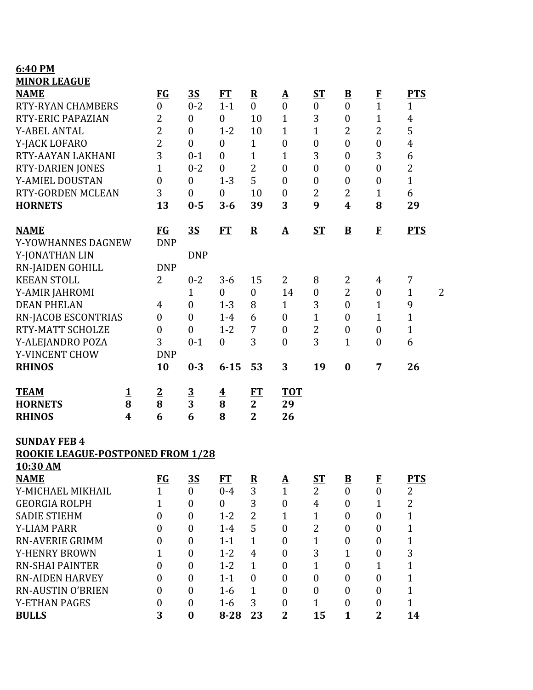## **6:40 PM MINOR LEAGUE**

| <b>NAME</b>                       |   | <b>FG</b>        | <u>3S</u>               | <b>FT</b>               | ${\bf R}$               | ${\bf A}$             | $S_{\rm T}$      | $\overline{\mathbf{B}}$ | $\bf{F}$         | <b>PTS</b>                     |
|-----------------------------------|---|------------------|-------------------------|-------------------------|-------------------------|-----------------------|------------------|-------------------------|------------------|--------------------------------|
| <b>RTY-RYAN CHAMBERS</b>          |   | $\boldsymbol{0}$ | $0 - 2$                 | $1 - 1$                 | $\boldsymbol{0}$        | $\boldsymbol{0}$      | $\boldsymbol{0}$ | $\boldsymbol{0}$        | $\mathbf{1}$     | $\mathbf{1}$                   |
| RTY-ERIC PAPAZIAN                 |   | $\overline{2}$   | 0                       | $\boldsymbol{0}$        | 10                      | $\mathbf{1}$          | 3                | $\boldsymbol{0}$        | $\mathbf{1}$     | 4                              |
| Y-ABEL ANTAL                      |   | $\overline{2}$   | $\boldsymbol{0}$        | $1 - 2$                 | 10                      | $\mathbf{1}$          | $\mathbf{1}$     | $\overline{2}$          | $\overline{2}$   | 5                              |
| Y-JACK LOFARO                     |   | $\overline{2}$   | $\boldsymbol{0}$        | $\boldsymbol{0}$        | $\mathbf{1}$            | $\boldsymbol{0}$      | $\boldsymbol{0}$ | $\overline{0}$          | $\boldsymbol{0}$ | $\overline{4}$                 |
| RTY-AAYAN LAKHANI                 |   | 3                | $0 - 1$                 | $\boldsymbol{0}$        | $\mathbf{1}$            | 1                     | 3                | $\boldsymbol{0}$        | 3                | 6                              |
| <b>RTY-DARIEN JONES</b>           |   | 1                | $0 - 2$                 | $\boldsymbol{0}$        | $\overline{2}$          | $\boldsymbol{0}$      | $\boldsymbol{0}$ | $\boldsymbol{0}$        | $\boldsymbol{0}$ | $\overline{2}$                 |
| Y-AMIEL DOUSTAN                   |   | $\boldsymbol{0}$ | $\boldsymbol{0}$        | $1 - 3$                 | 5                       | $\boldsymbol{0}$      | $\boldsymbol{0}$ | $\boldsymbol{0}$        | $\boldsymbol{0}$ | $\mathbf{1}$                   |
| RTY-GORDEN MCLEAN                 |   | 3                | $\boldsymbol{0}$        | $\boldsymbol{0}$        | 10                      | $\boldsymbol{0}$      | $\overline{2}$   | $\overline{2}$          | $\mathbf{1}$     | 6                              |
| <b>HORNETS</b>                    |   | 13               | $0 - 5$                 | $3 - 6$                 | 39                      | 3                     | 9                | 4                       | 8                | 29                             |
| <b>NAME</b>                       |   | $FG$             | <u>3S</u>               | <b>FT</b>               | ${\bf R}$               | ${\underline{\bf A}}$ | <b>ST</b>        | $\mathbf{B}$            | $\mathbf{F}$     | <b>PTS</b>                     |
| Y-YOWHANNES DAGNEW                |   | <b>DNP</b>       |                         |                         |                         |                       |                  |                         |                  |                                |
| Y-JONATHAN LIN                    |   |                  | <b>DNP</b>              |                         |                         |                       |                  |                         |                  |                                |
| <b>RN-JAIDEN GOHILL</b>           |   | <b>DNP</b>       |                         |                         |                         |                       |                  |                         |                  |                                |
| <b>KEEAN STOLL</b>                |   | 2                | $0 - 2$                 | $3 - 6$                 | 15                      | 2                     | 8                | 2                       | 4                | 7                              |
| Y-AMIR JAHROMI                    |   |                  | $\mathbf{1}$            | $\boldsymbol{0}$        | $\boldsymbol{0}$        | 14                    | $\boldsymbol{0}$ | $\overline{2}$          | $\boldsymbol{0}$ | $\overline{2}$<br>$\mathbf{1}$ |
| <b>DEAN PHELAN</b>                |   | 4                | $\boldsymbol{0}$        | $1 - 3$                 | 8                       | $\mathbf{1}$          | 3                | $\boldsymbol{0}$        | $\mathbf{1}$     | 9                              |
| <b>RN-JACOB ESCONTRIAS</b>        |   | $\boldsymbol{0}$ | $\boldsymbol{0}$        | $1-4$                   | 6                       | $\boldsymbol{0}$      | $\mathbf{1}$     | $\mathbf{0}$            | $\mathbf{1}$     | $\mathbf{1}$                   |
| RTY-MATT SCHOLZE                  |   | $\boldsymbol{0}$ | $\boldsymbol{0}$        | $1 - 2$                 | 7                       | $\boldsymbol{0}$      | $\overline{2}$   | $\boldsymbol{0}$        | $\boldsymbol{0}$ | $\mathbf{1}$                   |
| Y-ALEJANDRO POZA                  |   | 3                | $0 - 1$                 | $\boldsymbol{0}$        | 3                       | $\boldsymbol{0}$      | 3                | $\mathbf{1}$            | $\boldsymbol{0}$ | 6                              |
| Y-VINCENT CHOW                    |   | <b>DNP</b>       |                         |                         |                         |                       |                  |                         |                  |                                |
| <b>RHINOS</b>                     |   | 10               | $0 - 3$                 | $6 - 15$                | 53                      | 3                     | 19               | $\bf{0}$                | 7                | 26                             |
| <b>TEAM</b>                       | 1 | $\overline{2}$   | $\overline{\mathbf{3}}$ | $\overline{\mathbf{4}}$ | FT                      | <b>TOT</b>            |                  |                         |                  |                                |
| <b>HORNETS</b>                    | 8 | 8                | 3                       | 8                       | $\mathbf{2}$            | 29                    |                  |                         |                  |                                |
| <b>RHINOS</b>                     | 4 | 6                | 6                       | 8                       | $\overline{2}$          | 26                    |                  |                         |                  |                                |
| <b>SUNDAY FEB 4</b>               |   |                  |                         |                         |                         |                       |                  |                         |                  |                                |
| ROOKIE LEAGUE-POSTPONED FROM 1/28 |   |                  |                         |                         |                         |                       |                  |                         |                  |                                |
| 10:30 AM                          |   |                  |                         |                         |                         |                       |                  |                         |                  |                                |
| <b>NAME</b>                       |   | $FG$             | <u>35</u>               | <b>FT</b>               | $\overline{\mathbf{R}}$ | <u>A</u>              | $S_{\rm T}$      | $\overline{\mathbf{B}}$ | ${\bf F}$        | <b>PTS</b>                     |
| Y-MICHAEL MIKHAIL                 |   | $\mathbf{1}$     | $\boldsymbol{0}$        | $0 - 4$                 | 3                       | $\mathbf{1}$          | $\overline{2}$   | $\boldsymbol{0}$        | $\boldsymbol{0}$ | $\overline{2}$                 |
| <b>GEORGIA ROLPH</b>              |   | 1                | $\boldsymbol{0}$        | $\theta$                | 3                       | $\boldsymbol{0}$      | $\overline{4}$   | $\mathbf{0}$            | 1                | $\overline{2}$                 |
| <b>SADIE STIEHM</b>               |   | $\theta$         | $\boldsymbol{0}$        | $1 - 2$                 | 2                       | $\mathbf{1}$          | $\mathbf 1$      | $\mathbf{0}$            | $\mathbf{0}$     | $\mathbf{1}$                   |
| <b>Y-LIAM PARR</b>                |   | 0                | $\boldsymbol{0}$        | $1 - 4$                 | 5                       | $\boldsymbol{0}$      | $\overline{2}$   | $\mathbf{0}$            | $\boldsymbol{0}$ | $\mathbf{1}$                   |
| <b>RN-AVERIE GRIMM</b>            |   | $\boldsymbol{0}$ | $\boldsymbol{0}$        | $1 - 1$                 | $\mathbf{1}$            | $\mathbf{0}$          | $\mathbf{1}$     | $\boldsymbol{0}$        | $\theta$         | $\mathbf{1}$                   |
| <b>Y-HENRY BROWN</b>              |   | 1                | $\boldsymbol{0}$        | $1 - 2$                 | $\overline{4}$          | $\boldsymbol{0}$      | 3                | 1                       | $\boldsymbol{0}$ | 3                              |
| <b>RN-SHAI PAINTER</b>            |   | $\overline{0}$   | $\boldsymbol{0}$        | $1 - 2$                 | $\mathbf{1}$            | $\boldsymbol{0}$      | $\mathbf{1}$     | $\mathbf{0}$            | $\mathbf 1$      | $\mathbf{1}$                   |
| <b>RN-AIDEN HARVEY</b>            |   | $\theta$         | $\boldsymbol{0}$        | $1 - 1$                 | $\boldsymbol{0}$        | $\overline{0}$        | $\boldsymbol{0}$ | $\boldsymbol{0}$        | $\mathbf{0}$     | $\mathbf{1}$                   |
| <b>RN-AUSTIN O'BRIEN</b>          |   | 0                | $\boldsymbol{0}$        | $1 - 6$                 | $\mathbf{1}$            | $\overline{0}$        | $\boldsymbol{0}$ | $\boldsymbol{0}$        | $\boldsymbol{0}$ | $\mathbf{1}$                   |
| <b>Y-ETHAN PAGES</b>              |   | $\boldsymbol{0}$ | $\boldsymbol{0}$        | $1 - 6$                 | 3                       | $\boldsymbol{0}$      | $\mathbf{1}$     | $\boldsymbol{0}$        | $\boldsymbol{0}$ | $\mathbf{1}$                   |
| <b>BULLS</b>                      |   | 3                | $\bf{0}$                | $8 - 28$                | 23                      | $\overline{2}$        | 15               | $\mathbf{1}$            | $\overline{2}$   | 14                             |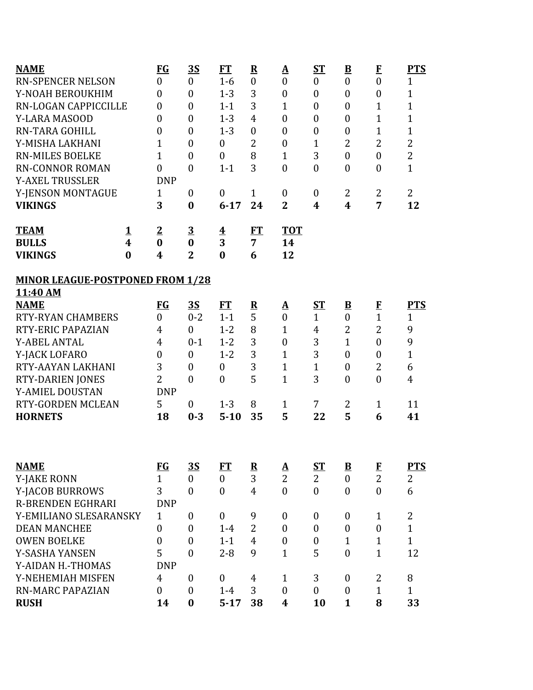| <b>NAME</b>                             |          | $FG$             | <u>35</u>        | <b>FT</b>               | $\mathbf R$             | <u>A</u>         | <b>ST</b>        | $\underline{\mathbf{B}}$ | $\mathbf{F}$     | <b>PTS</b>     |
|-----------------------------------------|----------|------------------|------------------|-------------------------|-------------------------|------------------|------------------|--------------------------|------------------|----------------|
| <b>RN-SPENCER NELSON</b>                |          | $\boldsymbol{0}$ | $\boldsymbol{0}$ | $1-6$                   | $\boldsymbol{0}$        | $\boldsymbol{0}$ | $\boldsymbol{0}$ | $\boldsymbol{0}$         | $\boldsymbol{0}$ | $\mathbf{1}$   |
| Y-NOAH BEROUKHIM                        |          | $\boldsymbol{0}$ | $\overline{0}$   | $1 - 3$                 | 3                       | $\boldsymbol{0}$ | $\boldsymbol{0}$ | $\boldsymbol{0}$         | $\boldsymbol{0}$ | $\mathbf{1}$   |
| RN-LOGAN CAPPICCILLE                    |          | $\boldsymbol{0}$ | $\boldsymbol{0}$ | $1 - 1$                 | 3                       | 1                | $\boldsymbol{0}$ | $\boldsymbol{0}$         | 1                | $\overline{1}$ |
| Y-LARA MASOOD                           |          | $\boldsymbol{0}$ | $\boldsymbol{0}$ | $1 - 3$                 | $\overline{4}$          | $\boldsymbol{0}$ | $\boldsymbol{0}$ | $\boldsymbol{0}$         | $\overline{1}$   | $\overline{1}$ |
| <b>RN-TARA GOHILL</b>                   |          | $\boldsymbol{0}$ | $\overline{0}$   | $1 - 3$                 | $\boldsymbol{0}$        | $\boldsymbol{0}$ | $\boldsymbol{0}$ | $\boldsymbol{0}$         | $\overline{1}$   | $\mathbf{1}$   |
| Y-MISHA LAKHANI                         |          | $\overline{1}$   | $\overline{0}$   | $\mathbf{0}$            | 2                       | $\boldsymbol{0}$ | $\mathbf{1}$     | 2                        | 2                | $\overline{2}$ |
| <b>RN-MILES BOELKE</b>                  |          | $\overline{1}$   | $\overline{0}$   | $\mathbf{0}$            | 8                       | $\mathbf{1}$     | 3                | $\boldsymbol{0}$         | $\overline{0}$   | $\overline{2}$ |
| <b>RN-CONNOR ROMAN</b>                  |          | $\overline{0}$   | $\overline{0}$   | $1 - 1$                 | 3                       | $\mathbf{0}$     | $\mathbf{0}$     | $\overline{0}$           | $\overline{0}$   | $\mathbf{1}$   |
| <b>Y-AXEL TRUSSLER</b>                  |          | <b>DNP</b>       |                  |                         |                         |                  |                  |                          |                  |                |
| Y-JENSON MONTAGUE                       |          | $\mathbf{1}$     | $\boldsymbol{0}$ | $\mathbf{0}$            | $\mathbf{1}$            | $\boldsymbol{0}$ | $\boldsymbol{0}$ | 2                        | $\overline{2}$   | $\overline{2}$ |
| <b>VIKINGS</b>                          |          | 3                | $\bf{0}$         | $6 - 17$                | 24                      | $\overline{2}$   | 4                | $\boldsymbol{4}$         | 7                | 12             |
| <b>TEAM</b>                             | <u>1</u> | $\overline{2}$   | $\overline{3}$   | $\overline{\textbf{4}}$ | ET                      | <b>TOT</b>       |                  |                          |                  |                |
| <b>BULLS</b>                            | 4        | $\bf{0}$         | $\bf{0}$         | 3                       | $\overline{7}$          | 14               |                  |                          |                  |                |
| <b>VIKINGS</b>                          | $\bf{0}$ | 4                | $\overline{2}$   | $\bf{0}$                | 6                       | 12               |                  |                          |                  |                |
| <b>MINOR LEAGUE-POSTPONED FROM 1/28</b> |          |                  |                  |                         |                         |                  |                  |                          |                  |                |
| 11:40 AM                                |          |                  |                  |                         |                         |                  |                  |                          |                  |                |
| <b>NAME</b>                             |          | $FG$             | <u>35</u>        | FT                      | $\overline{\mathbf{R}}$ | <u>A</u>         | <u>ST</u>        | $\overline{\mathbf{B}}$  | $\bf{F}$         | <b>PTS</b>     |
| <b>RTY-RYAN CHAMBERS</b>                |          | $\overline{0}$   | $0 - 2$          | $1 - 1$                 | 5                       | $\boldsymbol{0}$ | $\mathbf{1}$     | $\boldsymbol{0}$         | $\mathbf{1}$     | $\mathbf{1}$   |
| RTY-ERIC PAPAZIAN                       |          | 4                | $\overline{0}$   | $1 - 2$                 | 8                       | $\mathbf{1}$     | $\overline{4}$   | $\overline{2}$           | $\overline{2}$   | 9              |
| <b>Y-ABEL ANTAL</b>                     |          | $\overline{4}$   | $0 - 1$          | $1 - 2$                 | 3                       | $\boldsymbol{0}$ | 3                | $\mathbf{1}$             | $\boldsymbol{0}$ | 9              |
| Y-JACK LOFARO                           |          | $\boldsymbol{0}$ | $\boldsymbol{0}$ | $1 - 2$                 | 3                       | $\mathbf{1}$     | 3                | $\boldsymbol{0}$         | $\boldsymbol{0}$ | $\mathbf{1}$   |
| RTY-AAYAN LAKHANI                       |          | 3                | $\boldsymbol{0}$ | $\mathbf{0}$            | 3                       | $\mathbf{1}$     | $\overline{1}$   | $\boldsymbol{0}$         | $\overline{2}$   | 6              |
| <b>RTY-DARIEN JONES</b>                 |          | $\overline{2}$   | $\boldsymbol{0}$ | $\mathbf{0}$            | 5                       | $\mathbf{1}$     | 3                | $\boldsymbol{0}$         | $\overline{0}$   | $\overline{4}$ |
| Y-AMIEL DOUSTAN                         |          | <b>DNP</b>       |                  |                         |                         |                  |                  |                          |                  |                |
| RTY-GORDEN MCLEAN                       |          | 5                | $\boldsymbol{0}$ | $1 - 3$                 | 8                       | 1                | 7                | 2                        | $\mathbf{1}$     | 11             |
| <b>HORNETS</b>                          |          | 18               | $0 - 3$          | $5 - 10$                | 35                      | 5                | 22               | 5                        | 6                | 41             |
|                                         |          |                  |                  |                         |                         |                  |                  |                          |                  |                |
| <b>NAME</b>                             |          | $FG$             | <u>3S</u>        | <b>FT</b>               | $\overline{\mathbf{R}}$ | <u>A</u>         | <u>ST</u>        | $\underline{\mathbf{B}}$ | $\bf{F}$         | <b>PTS</b>     |
| <b>Y-JAKE RONN</b>                      |          | $\overline{1}$   | $\boldsymbol{0}$ | $\mathbf{0}$            | 3                       | $\overline{2}$   | 2                | $\boldsymbol{0}$         | $\overline{2}$   | $\overline{2}$ |
| Y-JACOB BURROWS                         |          | 3                | $\overline{0}$   | $\theta$                | $\overline{4}$          | $\overline{0}$   | $\overline{0}$   | $\mathbf{0}$             | $\overline{0}$   | 6              |
| R-BRENDEN EGHRARI                       |          | <b>DNP</b>       |                  |                         |                         |                  |                  |                          |                  |                |
| Y-EMILIANO SLESARANSKY                  |          | $\mathbf{1}$     | $\boldsymbol{0}$ | $\mathbf{0}$            | 9                       | $\boldsymbol{0}$ | $\boldsymbol{0}$ | $\boldsymbol{0}$         | $\mathbf{1}$     | $\overline{2}$ |
| <b>DEAN MANCHEE</b>                     |          | $\boldsymbol{0}$ | $\overline{0}$   | $1-4$                   | $\overline{2}$          | $\mathbf{0}$     | $\boldsymbol{0}$ | $\overline{0}$           | $\overline{0}$   | $\mathbf{1}$   |
| <b>OWEN BOELKE</b>                      |          | $\overline{0}$   | $\overline{0}$   | $1 - 1$                 | $\overline{4}$          | $\boldsymbol{0}$ | $\boldsymbol{0}$ | $\mathbf{1}$             | $\mathbf{1}$     | $\mathbf{1}$   |
| Y-SASHA YANSEN                          |          | 5                | $\theta$         | $2 - 8$                 | 9                       | $\mathbf{1}$     | 5                | $\overline{0}$           | $\overline{1}$   | 12             |
| Y-AIDAN H.-THOMAS                       |          | <b>DNP</b>       |                  |                         |                         |                  |                  |                          |                  |                |
| Y-NEHEMIAH MISFEN                       |          | $\overline{4}$   | $\boldsymbol{0}$ | $\mathbf{0}$            | 4                       | $\mathbf{1}$     | 3                | $\boldsymbol{0}$         | 2                | 8              |
| <b>RN-MARC PAPAZIAN</b>                 |          | $\overline{0}$   | $\overline{0}$   | $1-4$                   | 3                       | $\mathbf{0}$     | $\boldsymbol{0}$ | $\boldsymbol{0}$         | $\mathbf{1}$     | $\mathbf{1}$   |
| <b>RUSH</b>                             |          | 14               | $\bf{0}$         | $5 - 17$                | 38                      | 4                | 10               | $\mathbf{1}$             | 8                | 33             |